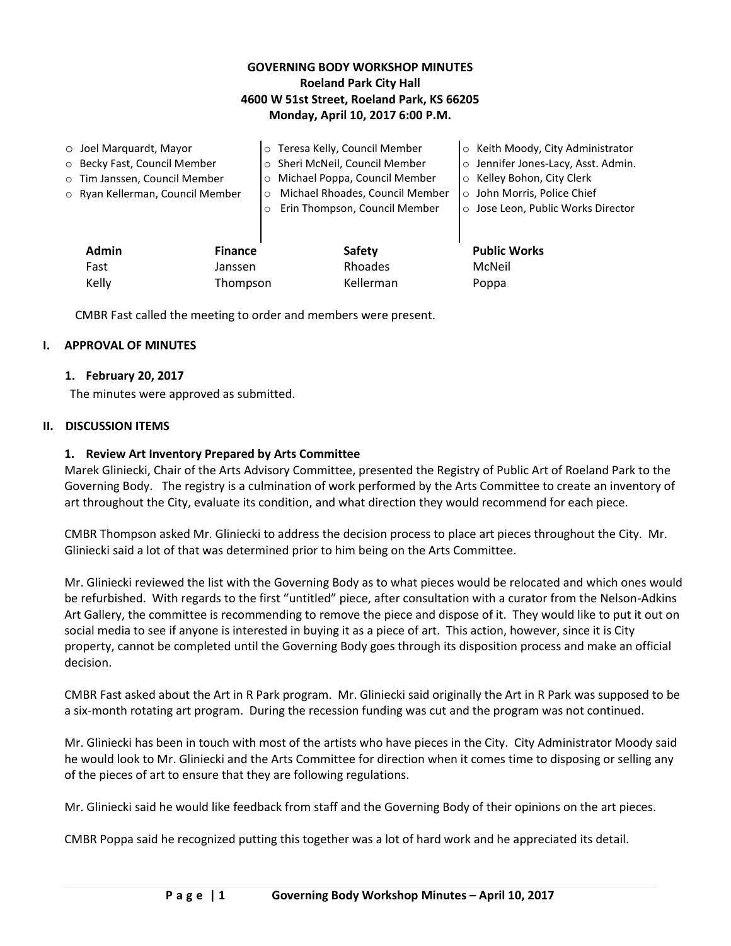## **GOVERNING BODY WORKSHOP MINUTES Roeland Park City Hall 4600 W 51st Street, Roeland Park, KS 66205 Monday, April 10, 2017 6:00 P.M.**

|                   | $\circ$ Joel Marquardt, Mayor    |         | o Teresa Kelly, Council Member  | ○ Keith Moody, City Administrator   |
|-------------------|----------------------------------|---------|---------------------------------|-------------------------------------|
|                   | o Becky Fast, Council Member     | $\circ$ | Sheri McNeil, Council Member    | o Jennifer Jones-Lacy, Asst. Admin. |
|                   | o Tim Janssen, Council Member    | $\circ$ | Michael Poppa, Council Member   | ○ Kelley Bohon, City Clerk          |
|                   | o Ryan Kellerman, Council Member | $\circ$ | Michael Rhoades, Council Member | o John Morris, Police Chief         |
|                   |                                  | $\circ$ | Erin Thompson, Council Member   | o Jose Leon, Public Works Director  |
|                   |                                  |         |                                 |                                     |
|                   | <b>Admin</b><br><b>Finance</b>   |         | <b>Safety</b>                   | <b>Public Works</b>                 |
|                   | Fast<br>Janssen                  |         | Rhoades                         | McNeil                              |
| Kelly<br>Thompson |                                  |         | Kellerman                       | Poppa                               |

CMBR Fast called the meeting to order and members were present.

#### **I. APPROVAL OF MINUTES**

#### **1. February 20, 2017**

The minutes were approved as submitted.

#### **II. DISCUSSION ITEMS**

#### **1. Review Art Inventory Prepared by Arts Committee**

Marek Gliniecki, Chair of the Arts Advisory Committee, presented the Registry of Public Art of Roeland Park to the Governing Body. The registry is a culmination of work performed by the Arts Committee to create an inventory of art throughout the City, evaluate its condition, and what direction they would recommend for each piece.

CMBR Thompson asked Mr. Gliniecki to address the decision process to place art pieces throughout the City. Mr. Gliniecki said a lot of that was determined prior to him being on the Arts Committee.

Mr. Gliniecki reviewed the list with the Governing Body as to what pieces would be relocated and which ones would be refurbished. With regards to the first "untitled" piece, after consultation with a curator from the Nelson-Adkins Art Gallery, the committee is recommending to remove the piece and dispose of it. They would like to put it out on social media to see if anyone is interested in buying it as a piece of art. This action, however, since it is City property, cannot be completed until the Governing Body goes through its disposition process and make an official decision.

CMBR Fast asked about the Art in R Park program. Mr. Gliniecki said originally the Art in R Park was supposed to be a six-month rotating art program. During the recession funding was cut and the program was not continued.

Mr. Gliniecki has been in touch with most of the artists who have pieces in the City. City Administrator Moody said he would look to Mr. Gliniecki and the Arts Committee for direction when it comes time to disposing or selling any of the pieces of art to ensure that they are following regulations.

Mr. Gliniecki said he would like feedback from staff and the Governing Body of their opinions on the art pieces.

CMBR Poppa said he recognized putting this together was a lot of hard work and he appreciated its detail.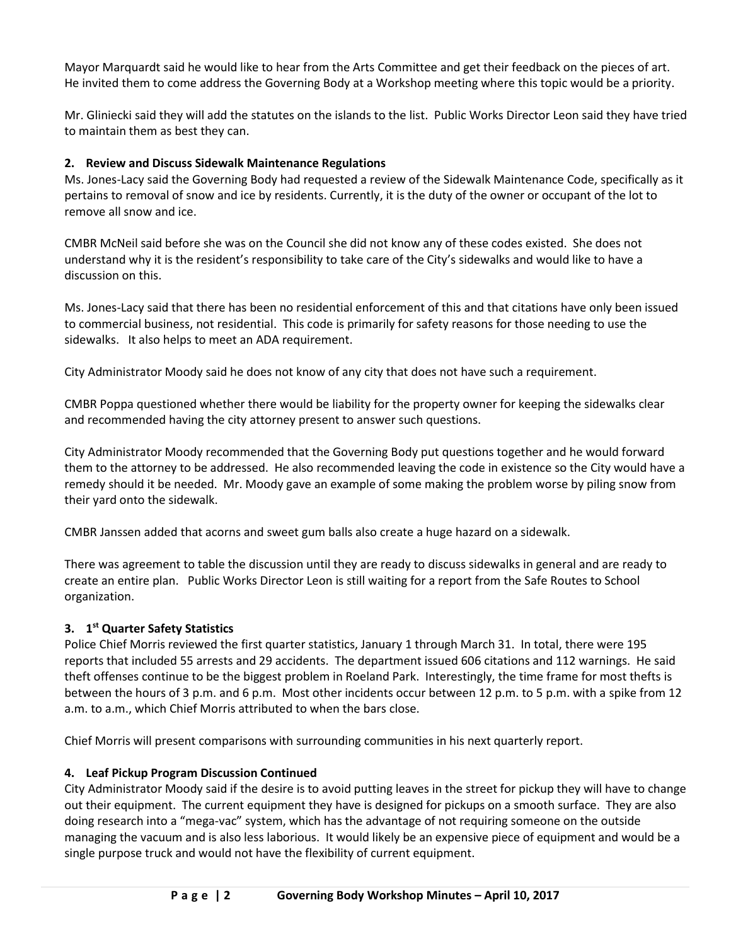Mayor Marquardt said he would like to hear from the Arts Committee and get their feedback on the pieces of art. He invited them to come address the Governing Body at a Workshop meeting where this topic would be a priority.

Mr. Gliniecki said they will add the statutes on the islands to the list. Public Works Director Leon said they have tried to maintain them as best they can.

## **2. Review and Discuss Sidewalk Maintenance Regulations**

Ms. Jones-Lacy said the Governing Body had requested a review of the Sidewalk Maintenance Code, specifically as it pertains to removal of snow and ice by residents. Currently, it is the duty of the owner or occupant of the lot to remove all snow and ice.

CMBR McNeil said before she was on the Council she did not know any of these codes existed. She does not understand why it is the resident's responsibility to take care of the City's sidewalks and would like to have a discussion on this.

Ms. Jones-Lacy said that there has been no residential enforcement of this and that citations have only been issued to commercial business, not residential. This code is primarily for safety reasons for those needing to use the sidewalks. It also helps to meet an ADA requirement.

City Administrator Moody said he does not know of any city that does not have such a requirement.

CMBR Poppa questioned whether there would be liability for the property owner for keeping the sidewalks clear and recommended having the city attorney present to answer such questions.

City Administrator Moody recommended that the Governing Body put questions together and he would forward them to the attorney to be addressed. He also recommended leaving the code in existence so the City would have a remedy should it be needed. Mr. Moody gave an example of some making the problem worse by piling snow from their yard onto the sidewalk.

CMBR Janssen added that acorns and sweet gum balls also create a huge hazard on a sidewalk.

There was agreement to table the discussion until they are ready to discuss sidewalks in general and are ready to create an entire plan. Public Works Director Leon is still waiting for a report from the Safe Routes to School organization.

## **3. 1 st Quarter Safety Statistics**

Police Chief Morris reviewed the first quarter statistics, January 1 through March 31. In total, there were 195 reports that included 55 arrests and 29 accidents. The department issued 606 citations and 112 warnings. He said theft offenses continue to be the biggest problem in Roeland Park. Interestingly, the time frame for most thefts is between the hours of 3 p.m. and 6 p.m. Most other incidents occur between 12 p.m. to 5 p.m. with a spike from 12 a.m. to a.m., which Chief Morris attributed to when the bars close.

Chief Morris will present comparisons with surrounding communities in his next quarterly report.

# **4. Leaf Pickup Program Discussion Continued**

City Administrator Moody said if the desire is to avoid putting leaves in the street for pickup they will have to change out their equipment. The current equipment they have is designed for pickups on a smooth surface. They are also doing research into a "mega-vac" system, which has the advantage of not requiring someone on the outside managing the vacuum and is also less laborious. It would likely be an expensive piece of equipment and would be a single purpose truck and would not have the flexibility of current equipment.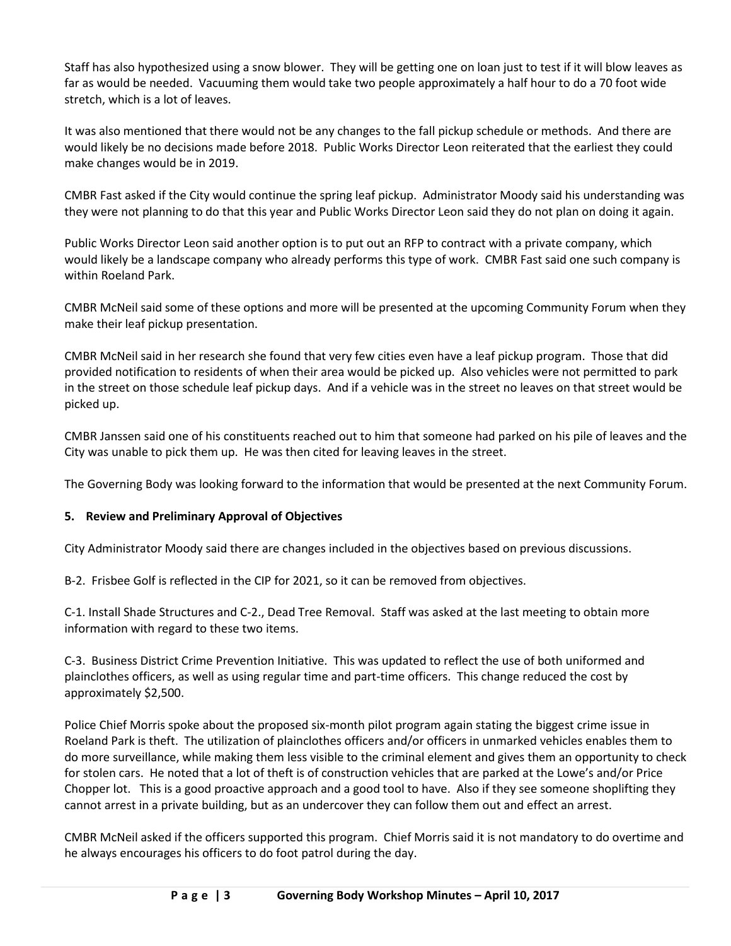Staff has also hypothesized using a snow blower. They will be getting one on loan just to test if it will blow leaves as far as would be needed. Vacuuming them would take two people approximately a half hour to do a 70 foot wide stretch, which is a lot of leaves.

It was also mentioned that there would not be any changes to the fall pickup schedule or methods. And there are would likely be no decisions made before 2018. Public Works Director Leon reiterated that the earliest they could make changes would be in 2019.

CMBR Fast asked if the City would continue the spring leaf pickup. Administrator Moody said his understanding was they were not planning to do that this year and Public Works Director Leon said they do not plan on doing it again.

Public Works Director Leon said another option is to put out an RFP to contract with a private company, which would likely be a landscape company who already performs this type of work. CMBR Fast said one such company is within Roeland Park.

CMBR McNeil said some of these options and more will be presented at the upcoming Community Forum when they make their leaf pickup presentation.

CMBR McNeil said in her research she found that very few cities even have a leaf pickup program. Those that did provided notification to residents of when their area would be picked up. Also vehicles were not permitted to park in the street on those schedule leaf pickup days. And if a vehicle was in the street no leaves on that street would be picked up.

CMBR Janssen said one of his constituents reached out to him that someone had parked on his pile of leaves and the City was unable to pick them up. He was then cited for leaving leaves in the street.

The Governing Body was looking forward to the information that would be presented at the next Community Forum.

## **5. Review and Preliminary Approval of Objectives**

City Administrator Moody said there are changes included in the objectives based on previous discussions.

B-2. Frisbee Golf is reflected in the CIP for 2021, so it can be removed from objectives.

C-1. Install Shade Structures and C-2., Dead Tree Removal. Staff was asked at the last meeting to obtain more information with regard to these two items.

C-3. Business District Crime Prevention Initiative. This was updated to reflect the use of both uniformed and plainclothes officers, as well as using regular time and part-time officers. This change reduced the cost by approximately \$2,500.

Police Chief Morris spoke about the proposed six-month pilot program again stating the biggest crime issue in Roeland Park is theft. The utilization of plainclothes officers and/or officers in unmarked vehicles enables them to do more surveillance, while making them less visible to the criminal element and gives them an opportunity to check for stolen cars. He noted that a lot of theft is of construction vehicles that are parked at the Lowe's and/or Price Chopper lot. This is a good proactive approach and a good tool to have. Also if they see someone shoplifting they cannot arrest in a private building, but as an undercover they can follow them out and effect an arrest.

CMBR McNeil asked if the officers supported this program. Chief Morris said it is not mandatory to do overtime and he always encourages his officers to do foot patrol during the day.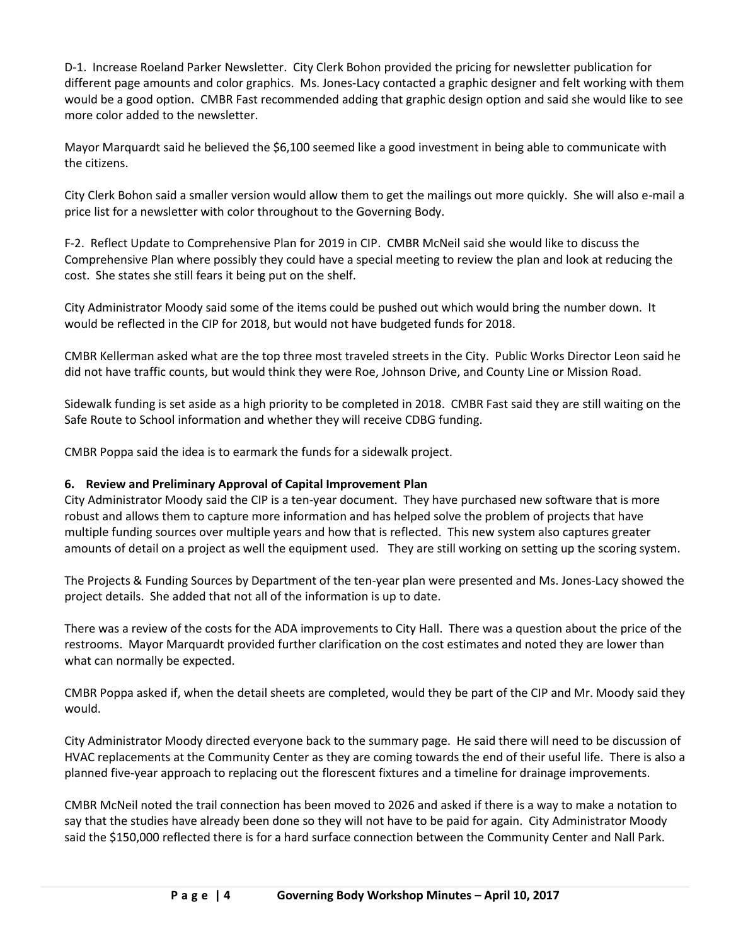D-1. Increase Roeland Parker Newsletter. City Clerk Bohon provided the pricing for newsletter publication for different page amounts and color graphics. Ms. Jones-Lacy contacted a graphic designer and felt working with them would be a good option. CMBR Fast recommended adding that graphic design option and said she would like to see more color added to the newsletter.

Mayor Marquardt said he believed the \$6,100 seemed like a good investment in being able to communicate with the citizens.

City Clerk Bohon said a smaller version would allow them to get the mailings out more quickly. She will also e-mail a price list for a newsletter with color throughout to the Governing Body.

F-2. Reflect Update to Comprehensive Plan for 2019 in CIP. CMBR McNeil said she would like to discuss the Comprehensive Plan where possibly they could have a special meeting to review the plan and look at reducing the cost. She states she still fears it being put on the shelf.

City Administrator Moody said some of the items could be pushed out which would bring the number down. It would be reflected in the CIP for 2018, but would not have budgeted funds for 2018.

CMBR Kellerman asked what are the top three most traveled streets in the City. Public Works Director Leon said he did not have traffic counts, but would think they were Roe, Johnson Drive, and County Line or Mission Road.

Sidewalk funding is set aside as a high priority to be completed in 2018. CMBR Fast said they are still waiting on the Safe Route to School information and whether they will receive CDBG funding.

CMBR Poppa said the idea is to earmark the funds for a sidewalk project.

## **6. Review and Preliminary Approval of Capital Improvement Plan**

City Administrator Moody said the CIP is a ten-year document. They have purchased new software that is more robust and allows them to capture more information and has helped solve the problem of projects that have multiple funding sources over multiple years and how that is reflected. This new system also captures greater amounts of detail on a project as well the equipment used. They are still working on setting up the scoring system.

The Projects & Funding Sources by Department of the ten-year plan were presented and Ms. Jones-Lacy showed the project details. She added that not all of the information is up to date.

There was a review of the costs for the ADA improvements to City Hall. There was a question about the price of the restrooms. Mayor Marquardt provided further clarification on the cost estimates and noted they are lower than what can normally be expected.

CMBR Poppa asked if, when the detail sheets are completed, would they be part of the CIP and Mr. Moody said they would.

City Administrator Moody directed everyone back to the summary page. He said there will need to be discussion of HVAC replacements at the Community Center as they are coming towards the end of their useful life. There is also a planned five-year approach to replacing out the florescent fixtures and a timeline for drainage improvements.

CMBR McNeil noted the trail connection has been moved to 2026 and asked if there is a way to make a notation to say that the studies have already been done so they will not have to be paid for again. City Administrator Moody said the \$150,000 reflected there is for a hard surface connection between the Community Center and Nall Park.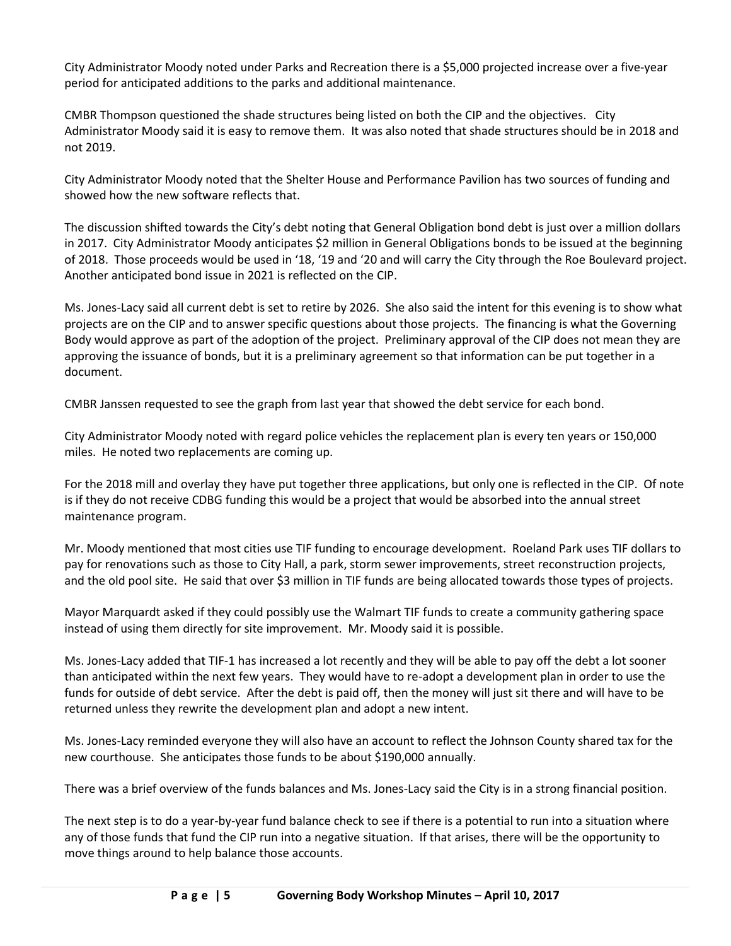City Administrator Moody noted under Parks and Recreation there is a \$5,000 projected increase over a five-year period for anticipated additions to the parks and additional maintenance.

CMBR Thompson questioned the shade structures being listed on both the CIP and the objectives. City Administrator Moody said it is easy to remove them. It was also noted that shade structures should be in 2018 and not 2019.

City Administrator Moody noted that the Shelter House and Performance Pavilion has two sources of funding and showed how the new software reflects that.

The discussion shifted towards the City's debt noting that General Obligation bond debt is just over a million dollars in 2017. City Administrator Moody anticipates \$2 million in General Obligations bonds to be issued at the beginning of 2018. Those proceeds would be used in '18, '19 and '20 and will carry the City through the Roe Boulevard project. Another anticipated bond issue in 2021 is reflected on the CIP.

Ms. Jones-Lacy said all current debt is set to retire by 2026. She also said the intent for this evening is to show what projects are on the CIP and to answer specific questions about those projects. The financing is what the Governing Body would approve as part of the adoption of the project. Preliminary approval of the CIP does not mean they are approving the issuance of bonds, but it is a preliminary agreement so that information can be put together in a document.

CMBR Janssen requested to see the graph from last year that showed the debt service for each bond.

City Administrator Moody noted with regard police vehicles the replacement plan is every ten years or 150,000 miles. He noted two replacements are coming up.

For the 2018 mill and overlay they have put together three applications, but only one is reflected in the CIP. Of note is if they do not receive CDBG funding this would be a project that would be absorbed into the annual street maintenance program.

Mr. Moody mentioned that most cities use TIF funding to encourage development. Roeland Park uses TIF dollars to pay for renovations such as those to City Hall, a park, storm sewer improvements, street reconstruction projects, and the old pool site. He said that over \$3 million in TIF funds are being allocated towards those types of projects.

Mayor Marquardt asked if they could possibly use the Walmart TIF funds to create a community gathering space instead of using them directly for site improvement. Mr. Moody said it is possible.

Ms. Jones-Lacy added that TIF-1 has increased a lot recently and they will be able to pay off the debt a lot sooner than anticipated within the next few years. They would have to re-adopt a development plan in order to use the funds for outside of debt service. After the debt is paid off, then the money will just sit there and will have to be returned unless they rewrite the development plan and adopt a new intent.

Ms. Jones-Lacy reminded everyone they will also have an account to reflect the Johnson County shared tax for the new courthouse. She anticipates those funds to be about \$190,000 annually.

There was a brief overview of the funds balances and Ms. Jones-Lacy said the City is in a strong financial position.

The next step is to do a year-by-year fund balance check to see if there is a potential to run into a situation where any of those funds that fund the CIP run into a negative situation. If that arises, there will be the opportunity to move things around to help balance those accounts.